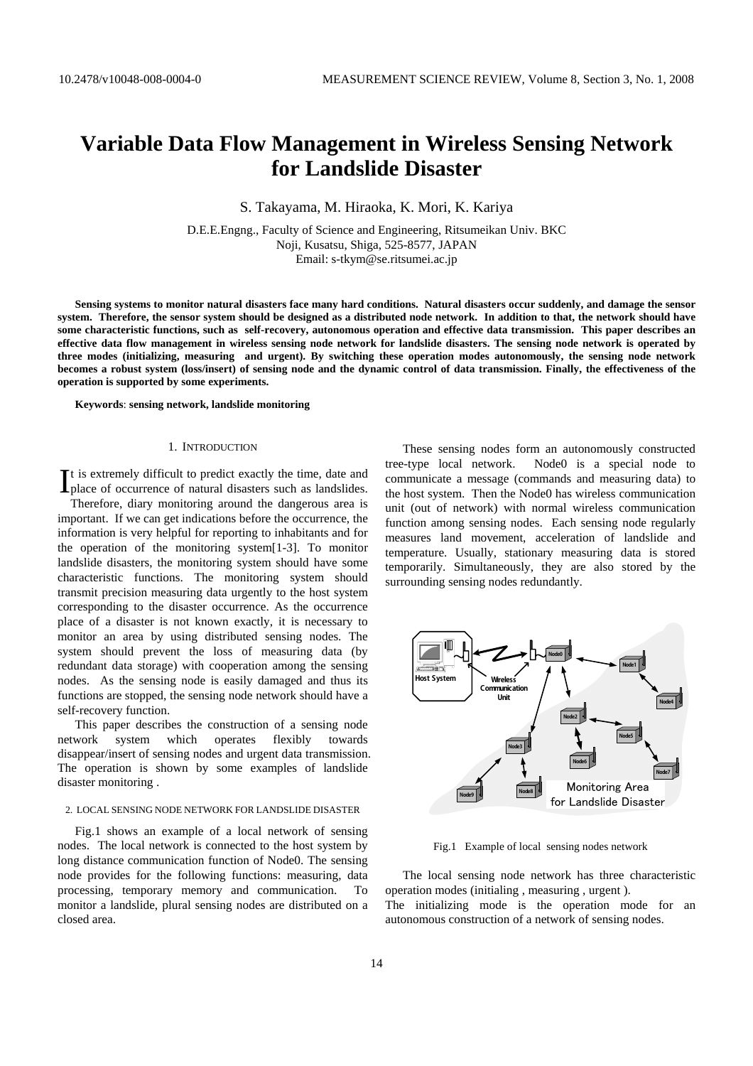# **Variable Data Flow Management in Wireless Sensing Network for Landslide Disaster**

S. Takayama, M. Hiraoka, K. Mori, K. Kariya

D.E.E.Engng., Faculty of Science and Engineering, Ritsumeikan Univ. BKC Noji, Kusatsu, Shiga, 525-8577, JAPAN Email: s-tkym@se.ritsumei.ac.jp

**Sensing systems to monitor natural disasters face many hard conditions. Natural disasters occur suddenly, and damage the sensor system. Therefore, the sensor system should be designed as a distributed node network. In addition to that, the network should have some characteristic functions, such as self-recovery, autonomous operation and effective data transmission. This paper describes an effective data flow management in wireless sensing node network for landslide disasters. The sensing node network is operated by three modes (initializing, measuring and urgent). By switching these operation modes autonomously, the sensing node network becomes a robust system (loss/insert) of sensing node and the dynamic control of data transmission. Finally, the effectiveness of the operation is supported by some experiments.** 

#### **Keywords**: **sensing network, landslide monitoring**

#### 1. INTRODUCTION

t is extremely difficult to predict exactly the time, date and  $\prod$ t is extremely difficult to predict exactly the time, date and place of occurrence of natural disasters such as landslides.

Therefore, diary monitoring around the dangerous area is important. If we can get indications before the occurrence, the information is very helpful for reporting to inhabitants and for the operation of the monitoring system[1-3]. To monitor landslide disasters, the monitoring system should have some characteristic functions. The monitoring system should transmit precision measuring data urgently to the host system corresponding to the disaster occurrence. As the occurrence place of a disaster is not known exactly, it is necessary to monitor an area by using distributed sensing nodes. The system should prevent the loss of measuring data (by redundant data storage) with cooperation among the sensing nodes. As the sensing node is easily damaged and thus its functions are stopped, the sensing node network should have a self-recovery function.

This paper describes the construction of a sensing node network system which operates flexibly towards disappear/insert of sensing nodes and urgent data transmission. The operation is shown by some examples of landslide disaster monitoring .

### 2. LOCAL SENSING NODE NETWORK FOR LANDSLIDE DISASTER

Fig.1 shows an example of a local network of sensing nodes. The local network is connected to the host system by long distance communication function of Node0. The sensing node provides for the following functions: measuring, data processing, temporary memory and communication. To monitor a landslide, plural sensing nodes are distributed on a closed area.

These sensing nodes form an autonomously constructed tree-type local network. Node0 is a special node to communicate a message (commands and measuring data) to the host system. Then the Node0 has wireless communication unit (out of network) with normal wireless communication function among sensing nodes. Each sensing node regularly measures land movement, acceleration of landslide and temperature. Usually, stationary measuring data is stored temporarily. Simultaneously, they are also stored by the surrounding sensing nodes redundantly.



Fig.1 Example of local sensing nodes network

The local sensing node network has three characteristic operation modes (initialing , measuring , urgent ).

The initializing mode is the operation mode for an autonomous construction of a network of sensing nodes.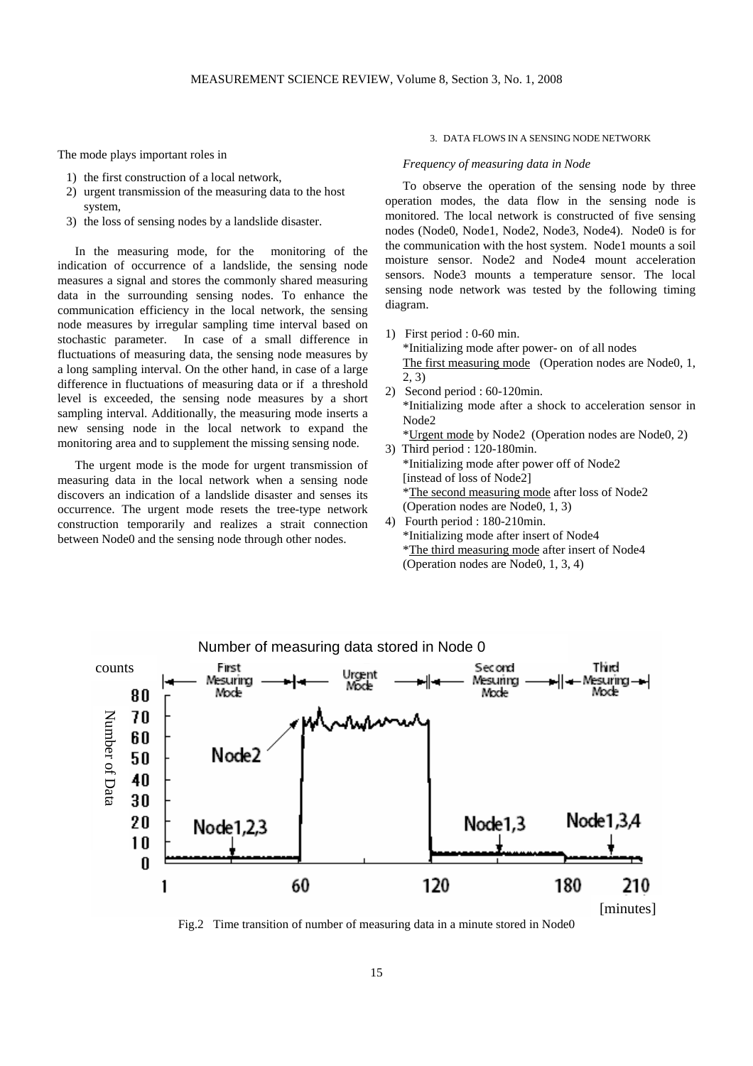The mode plays important roles in

- 1) the first construction of a local network,
- 2) urgent transmission of the measuring data to the host system,
- 3) the loss of sensing nodes by a landslide disaster.

In the measuring mode, for the monitoring of the indication of occurrence of a landslide, the sensing node measures a signal and stores the commonly shared measuring data in the surrounding sensing nodes. To enhance the communication efficiency in the local network, the sensing node measures by irregular sampling time interval based on stochastic parameter. In case of a small difference in fluctuations of measuring data, the sensing node measures by a long sampling interval. On the other hand, in case of a large difference in fluctuations of measuring data or if a threshold level is exceeded, the sensing node measures by a short sampling interval. Additionally, the measuring mode inserts a new sensing node in the local network to expand the monitoring area and to supplement the missing sensing node.

The urgent mode is the mode for urgent transmission of measuring data in the local network when a sensing node discovers an indication of a landslide disaster and senses its occurrence. The urgent mode resets the tree-type network construction temporarily and realizes a strait connection between Node0 and the sensing node through other nodes.

## 3. DATA FLOWS IN A SENSING NODE NETWORK

## *Frequency of measuring data in Node*

To observe the operation of the sensing node by three operation modes, the data flow in the sensing node is monitored. The local network is constructed of five sensing nodes (Node0, Node1, Node2, Node3, Node4). Node0 is for the communication with the host system. Node1 mounts a soil moisture sensor. Node2 and Node4 mount acceleration sensors. Node3 mounts a temperature sensor. The local sensing node network was tested by the following timing diagram.

- 1) First period : 0-60 min. \*Initializing mode after power- on of all nodes The first measuring mode (Operation nodes are Node0, 1, 2, 3)
- 2) Second period : 60-120min. \*Initializing mode after a shock to acceleration sensor in Node2 \*Urgent mode by Node2 (Operation nodes are Node0, 2)
- 3) Third period : 120-180min. \*Initializing mode after power off of Node2 [instead of loss of Node2] \*The second measuring mode after loss of Node2 (Operation nodes are Node0, 1, 3)
- 4) Fourth period : 180-210min. \*Initializing mode after insert of Node4 \*The third measuring mode after insert of Node4 (Operation nodes are Node0, 1, 3, 4)



Fig.2 Time transition of number of measuring data in a minute stored in Node0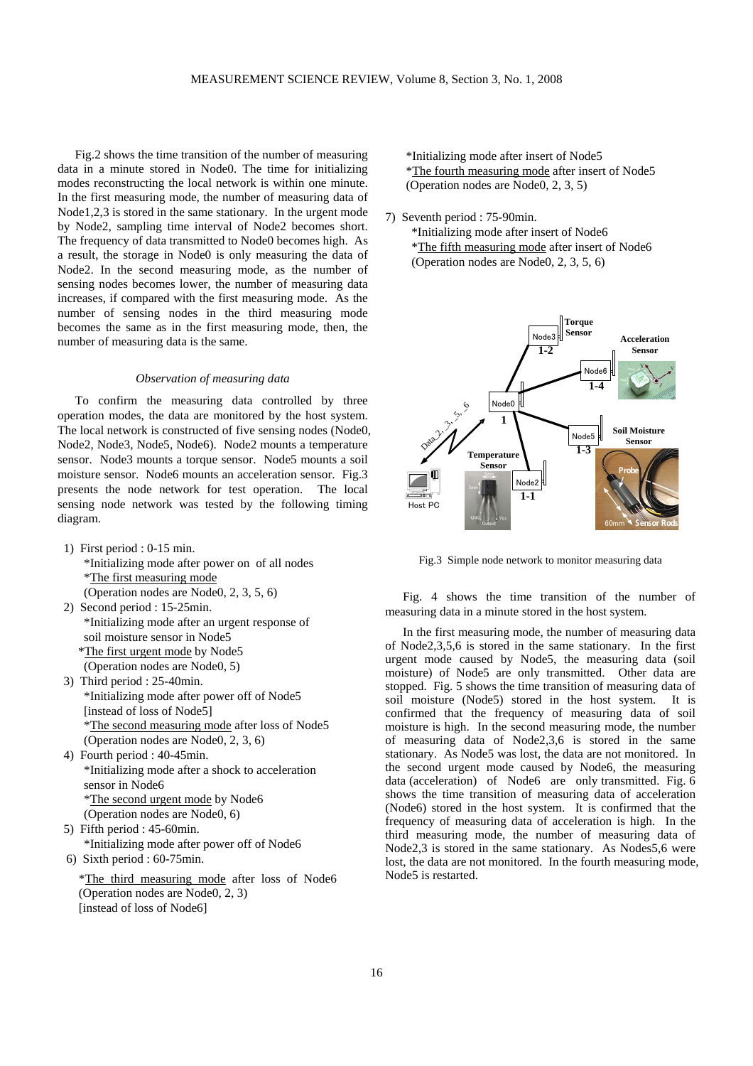Fig.2 shows the time transition of the number of measuring data in a minute stored in Node0. The time for initializing modes reconstructing the local network is within one minute. In the first measuring mode, the number of measuring data of Node1,2,3 is stored in the same stationary. In the urgent mode by Node2, sampling time interval of Node2 becomes short. The frequency of data transmitted to Node0 becomes high. As a result, the storage in Node0 is only measuring the data of Node2. In the second measuring mode, as the number of sensing nodes becomes lower, the number of measuring data increases, if compared with the first measuring mode. As the number of sensing nodes in the third measuring mode becomes the same as in the first measuring mode, then, the number of measuring data is the same.

## *Observation of measuring data*

To confirm the measuring data controlled by three operation modes, the data are monitored by the host system. The local network is constructed of five sensing nodes (Node0, Node2, Node3, Node5, Node6). Node2 mounts a temperature sensor. Node3 mounts a torque sensor. Node5 mounts a soil moisture sensor. Node6 mounts an acceleration sensor. Fig.3 presents the node network for test operation. The local sensing node network was tested by the following timing diagram.

- 1) First period : 0-15 min. \*Initializing mode after power on of all nodes \*The first measuring mode (Operation nodes are Node0, 2, 3, 5, 6)
- 2) Second period : 15-25min. \*Initializing mode after an urgent response of soil moisture sensor in Node5 \*The first urgent mode by Node5 (Operation nodes are Node0, 5)
- 3) Third period : 25-40min. \*Initializing mode after power off of Node5 [instead of loss of Node5] \*The second measuring mode after loss of Node5 (Operation nodes are Node0, 2, 3, 6)
- 4) Fourth period : 40-45min. \*Initializing mode after a shock to acceleration sensor in Node6 \*The second urgent mode by Node6 (Operation nodes are Node0, 6)
- 5) Fifth period : 45-60min. \*Initializing mode after power off of Node6
- 6) Sixth period : 60-75min.

\*The third measuring mode after loss of Node6 (Operation nodes are Node0, 2, 3) [instead of loss of Node6]

 \*Initializing mode after insert of Node5 \*The fourth measuring mode after insert of Node5 (Operation nodes are Node0, 2, 3, 5)

7) Seventh period : 75-90min.

\*Initializing mode after insert of Node6 \*The fifth measuring mode after insert of Node6 (Operation nodes are Node0, 2, 3, 5, 6)



Fig.3 Simple node network to monitor measuring data

Fig. 4 shows the time transition of the number of measuring data in a minute stored in the host system.

In the first measuring mode, the number of measuring data of Node2,3,5,6 is stored in the same stationary. In the first urgent mode caused by Node5, the measuring data (soil moisture) of Node5 are only transmitted. Other data are stopped. Fig. 5 shows the time transition of measuring data of soil moisture (Node5) stored in the host system. It is confirmed that the frequency of measuring data of soil moisture is high. In the second measuring mode, the number of measuring data of Node2,3,6 is stored in the same stationary. As Node5 was lost, the data are not monitored. In the second urgent mode caused by Node6, the measuring data (acceleration) of Node6 are only transmitted. Fig. 6 shows the time transition of measuring data of acceleration (Node6) stored in the host system. It is confirmed that the frequency of measuring data of acceleration is high. In the third measuring mode, the number of measuring data of Node2,3 is stored in the same stationary. As Nodes5,6 were lost, the data are not monitored. In the fourth measuring mode, Node5 is restarted.